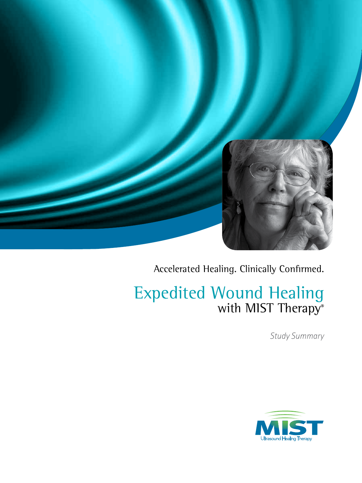

Accelerated Healing. Clinically Confirmed.

# Expedited Wound Healing with MIST Therapy®

*Study Summary*

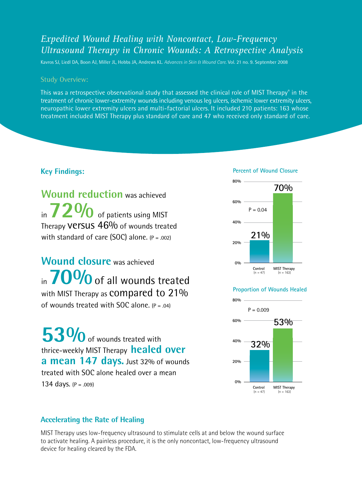### *Expedited Wound Healing with Noncontact, Low-Frequency Ultrasound Therapy in Chronic Wounds: A Retrospective Analysis*

Kavros SJ, Liedl DA, Boon AJ, Miller JL, Hobbs JA, Andrews KL. *Advances in Skin & Wound Care*. Vol. 21 no. 9. September 2008

#### Study Overview:

This was a retrospective observational study that assessed the clinical role of MIST Therapy® in the treatment of chronic lower-extremity wounds including venous leg ulcers, ischemic lower extremity ulcers, neuropathic lower extremity ulcers and multi-factorial ulcers. It included 210 patients: 163 whose treatment included MIST Therapy plus standard of care and 47 who received only standard of care.

#### **Key Findings:**

**Wound reduction** was achieved in **72%** of patients using MIST Therapy **Versus 46%** of wounds treated with standard of care (SOC) alone.  $(P = .002)$ 

**Wound closure** was achieved in **70%** of all wounds treated with MIST Therapy as **COMPATED to 21%** of wounds treated with SOC alone.  $(P = .04)$ 

**53%** of wounds treated with thrice-weekly MIST Therapy **healed over a mean 147 days.** Just 32% of wounds treated with SOC alone healed over a mean 134 days. (P = .009)

#### **Percent of Wound Closure**



#### **Proportion of Wounds Healed**



#### **Accelerating the Rate of Healing**

MIST Therapy uses low-frequency ultrasound to stimulate cells at and below the wound surface to activate healing. A painless procedure, it is the only noncontact, low-frequency ultrasound device for healing cleared by the FDA.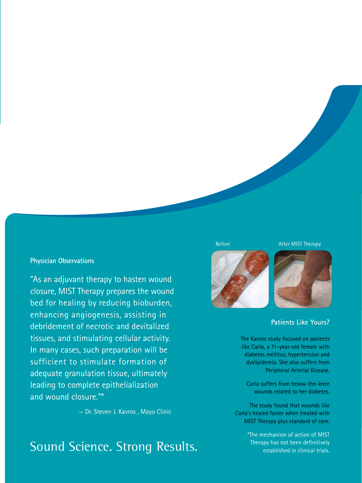#### **Physician Observations**

"As an adjuvant therapy to hasten wound closure, MIST Therapy prepares the wound bed for healing by reducing bioburden, enhancing angiogenesis, assisting in debridement of necrotic and devitalized tissues, and stimulating cellular activity. In many cases, such preparation will be sufficient to stimulate formation of adequate granulation tissue, ultimately leading to complete epithelialization and wound closure."\*

— Dr. Steven J. Kavros , Mayo Clinic

## Sound Science. Strong Results.







#### **Patients Like Yours?**

The Kavros study focused on patients like Carla, a 71-year-old female with diabetes mellitus, hypertension and dyslipidemia. She also suffers from Peripheral Arterial Disease.

Carla suffers from below-the-knee wounds related to her diabetes.

The study found that wounds like Carla's healed faster when treated with MIST Therapy plus standard of care.

> \*The mechanism of action of MIST Therapy has not been definitively established in clinical trials.